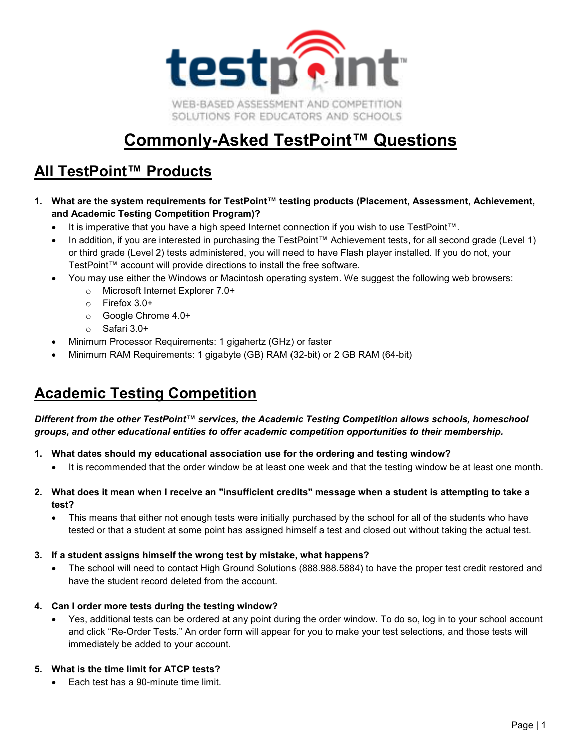

# **Commonly-Asked TestPoint™ Questions**

# **All TestPoint™ Products**

- **1. What are the system requirements for TestPoint™ testing products (Placement, Assessment, Achievement, and Academic Testing Competition Program)?**
	- It is imperative that you have a high speed Internet connection if you wish to use TestPoint™.
	- In addition, if you are interested in purchasing the TestPoint™ Achievement tests, for all second grade (Level 1) or third grade (Level 2) tests administered, you will need to have Flash player installed. If you do not, your TestPoint™ account will provide directions to install the free software.
	- You may use either the Windows or Macintosh operating system. We suggest the following web browsers:
		- o Microsoft Internet Explorer 7.0+
		- o Firefox 3.0+
		- o Google Chrome 4.0+
		- o Safari 3.0+
	- Minimum Processor Requirements: 1 gigahertz (GHz) or faster
	- Minimum RAM Requirements: 1 gigabyte (GB) RAM (32-bit) or 2 GB RAM (64-bit)

## **Academic Testing Competition**

*Different from the other TestPoint™ services, the Academic Testing Competition allows schools, homeschool groups, and other educational entities to offer academic competition opportunities to their membership.* 

- **1. What dates should my educational association use for the ordering and testing window?** 
	- It is recommended that the order window be at least one week and that the testing window be at least one month.
- **2. What does it mean when I receive an "insufficient credits" message when a student is attempting to take a test?** 
	- This means that either not enough tests were initially purchased by the school for all of the students who have tested or that a student at some point has assigned himself a test and closed out without taking the actual test.
- **3. If a student assigns himself the wrong test by mistake, what happens?** 
	- The school will need to contact High Ground Solutions (888.988.5884) to have the proper test credit restored and have the student record deleted from the account.
- **4. Can I order more tests during the testing window?** 
	- Yes, additional tests can be ordered at any point during the order window. To do so, log in to your school account and click "Re-Order Tests." An order form will appear for you to make your test selections, and those tests will immediately be added to your account.

### **5. What is the time limit for ATCP tests?**

• Each test has a 90-minute time limit.